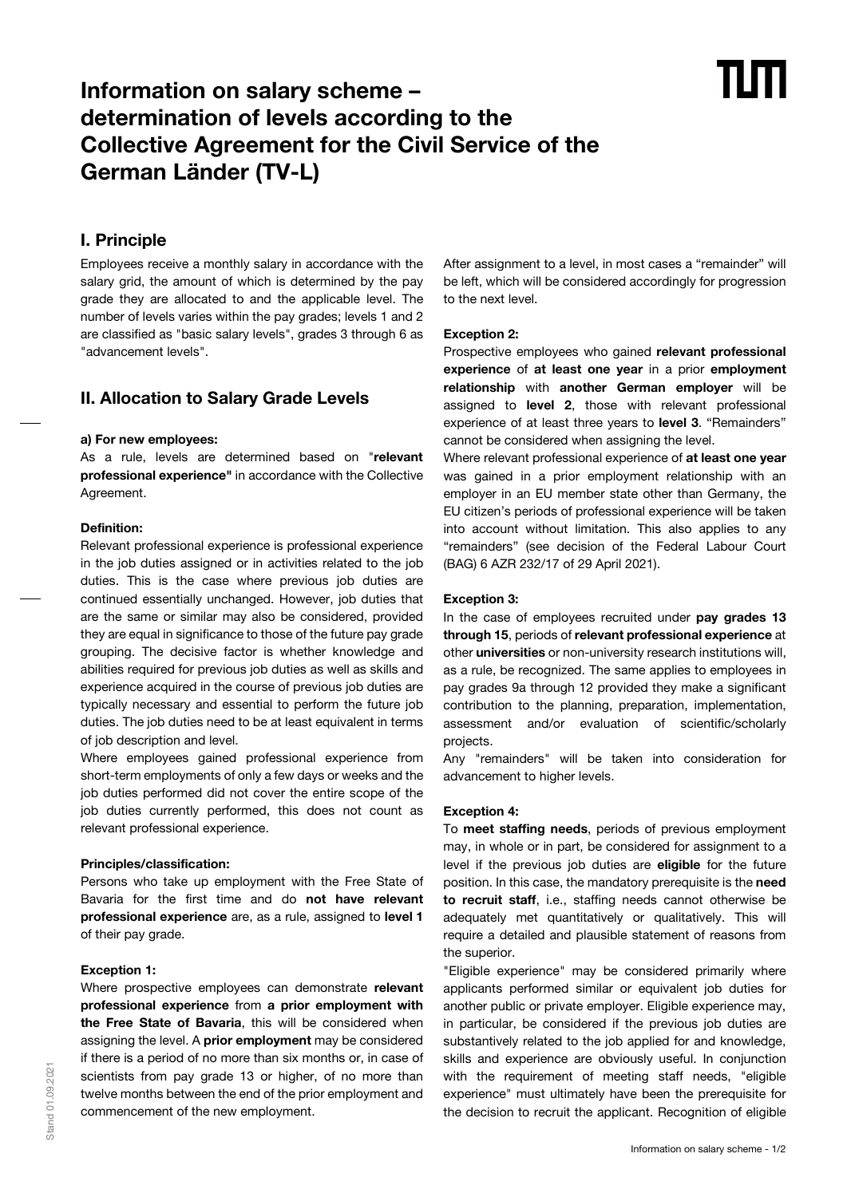# **Information on salary scheme – determination of levels according to the Collective Agreement for the Civil Service of the German Länder (TV-L)**

# **I. Principle**

Employees receive a monthly salary in accordance with the salary grid, the amount of which is determined by the pay grade they are allocated to and the applicable level. The number of levels varies within the pay grades; levels 1 and 2 are classified as "basic salary levels", grades 3 through 6 as "advancement levels".

## **II. Allocation to Salary Grade Levels**

#### **a) For new employees:**

As a rule, levels are determined based on "**relevant professional experience"** in accordance with the Collective Agreement.

#### **Definition:**

Relevant professional experience is professional experience in the job duties assigned or in activities related to the job duties. This is the case where previous job duties are continued essentially unchanged. However, job duties that are the same or similar may also be considered, provided they are equal in significance to those of the future pay grade grouping. The decisive factor is whether knowledge and abilities required for previous job duties as well as skills and experience acquired in the course of previous job duties are typically necessary and essential to perform the future job duties. The job duties need to be at least equivalent in terms of job description and level.

Where employees gained professional experience from short-term employments of only a few days or weeks and the job duties performed did not cover the entire scope of the job duties currently performed, this does not count as relevant professional experience.

#### **Principles/classification:**

Persons who take up employment with the Free State of Bavaria for the first time and do **not have relevant professional experience** are, as a rule, assigned to **level 1** of their pay grade.

#### **Exception 1:**

Where prospective employees can demonstrate **relevant professional experience** from **a prior employment with the Free State of Bavaria**, this will be considered when assigning the level. A **prior employment** may be considered if there is a period of no more than six months or, in case of scientists from pay grade 13 or higher, of no more than twelve months between the end of the prior employment and commencement of the new employment.

After assignment to a level, in most cases a "remainder" will be left, which will be considered accordingly for progression to the next level.

#### **Exception 2:**

Prospective employees who gained **relevant professional experience** of **at least one year** in a prior **employment relationship** with **another German employer** will be assigned to **level 2**, those with relevant professional experience of at least three years to **level 3**. "Remainders" cannot be considered when assigning the level.

Where relevant professional experience of **at least one year** was gained in a prior employment relationship with an employer in an EU member state other than Germany, the EU citizen's periods of professional experience will be taken into account without limitation. This also applies to any "remainders" (see decision of the Federal Labour Court (BAG) 6 AZR 232/17 of 29 April 2021).

#### **Exception 3:**

In the case of employees recruited under **pay grades 13 through 15**, periods of **relevant professional experience** at other **universities** or non-university research institutions will, as a rule, be recognized. The same applies to employees in pay grades 9a through 12 provided they make a significant contribution to the planning, preparation, implementation, assessment and/or evaluation of scientific/scholarly projects.

Any "remainders" will be taken into consideration for advancement to higher levels.

#### **Exception 4:**

To **meet staffing needs**, periods of previous employment may, in whole or in part, be considered for assignment to a level if the previous job duties are **eligible** for the future position. In this case, the mandatory prerequisite is the **need to recruit staff**, i.e., staffing needs cannot otherwise be adequately met quantitatively or qualitatively. This will require a detailed and plausible statement of reasons from the superior.

"Eligible experience" may be considered primarily where applicants performed similar or equivalent job duties for another public or private employer. Eligible experience may, in particular, be considered if the previous job duties are substantively related to the job applied for and knowledge, skills and experience are obviously useful. In conjunction with the requirement of meeting staff needs, "eligible experience" must ultimately have been the prerequisite for the decision to recruit the applicant. Recognition of eligible